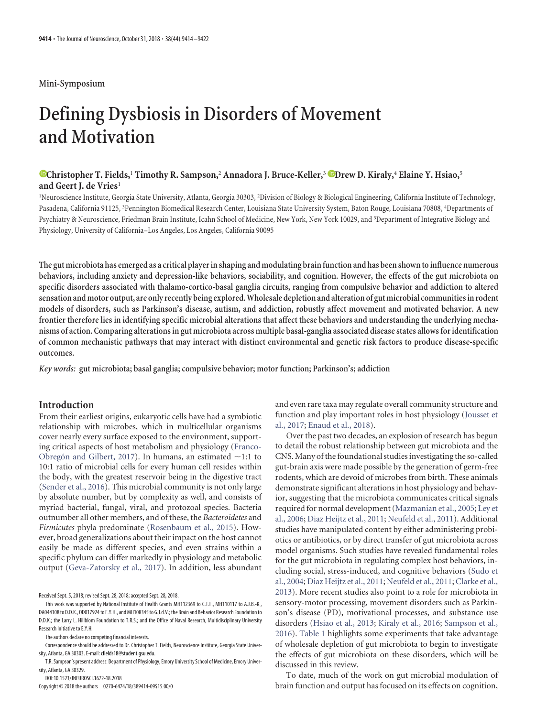### **Mini-Symposium**

# **Defining Dysbiosis in Disorders of Movement and Motivation**

# **XChristopher T. Fields,**<sup>1</sup> **Timothy R. Sampson,**<sup>2</sup> **Annadora J. Bruce-Keller,**<sup>3</sup> **XDrew D. Kiraly,**<sup>4</sup> **Elaine Y. Hsiao,**<sup>5</sup> **and Geert J. de Vries**<sup>1</sup>

<sup>1</sup>Neuroscience Institute, Georgia State University, Atlanta, Georgia 30303, <sup>2</sup>Division of Biology & Biological Engineering, California Institute of Technology, Pasadena, California 91125, <sup>3</sup> Pennington Biomedical Research Center, Louisiana State University System, Baton Rouge, Louisiana 70808, <sup>4</sup> Departments of Psychiatry & Neuroscience, Friedman Brain Institute, Icahn School of Medicine, New York, New York 10029, and <sup>5</sup> Department of Integrative Biology and Physiology, University of California–Los Angeles, Los Angeles, California 90095

**The gut microbiota has emerged as a critical player in shaping and modulating brainfunction and has been shownto influence numerous behaviors, including anxiety and depression-like behaviors, sociability, and cognition. However, the effects of the gut microbiota on specific disorders associated with thalamo-cortico-basal ganglia circuits, ranging from compulsive behavior and addiction to altered sensation and motor output, are only recently being explored.Wholesale depletion and alteration of gut microbial communities in rodent models of disorders, such as Parkinson's disease, autism, and addiction, robustly affect movement and motivated behavior. A new frontier therefore lies in identifying specific microbial alterations that affect these behaviors and understanding the underlying mechanisms of action. Comparing alterations in gut microbiota across multiple basal-ganglia associated disease states allows for identification of common mechanistic pathways that may interact with distinct environmental and genetic risk factors to produce disease-specific outcomes.**

*Key words:* **gut microbiota; basal ganglia; compulsive behavior; motor function; Parkinson's; addiction**

# **Introduction**

From their earliest origins, eukaryotic cells have had a symbiotic relationship with microbes, which in multicellular organisms cover nearly every surface exposed to the environment, supporting critical aspects of host metabolism and physiology [\(Franco-](#page-6-0)Obregón and Gilbert, 2017). In humans, an estimated  $\sim$ 1:1 to 10:1 ratio of microbial cells for every human cell resides within the body, with the greatest reservoir being in the digestive tract [\(Sender et al., 2016\)](#page-7-0). This microbial community is not only large by absolute number, but by complexity as well, and consists of myriad bacterial, fungal, viral, and protozoal species. Bacteria outnumber all other members, and of these, the *Bacteroidetes* and *Firmicutes* phyla predominate [\(Rosenbaum et al., 2015\)](#page-7-1). However, broad generalizations about their impact on the host cannot easily be made as different species, and even strains within a specific phylum can differ markedly in physiology and metabolic output [\(Geva-Zatorsky et al., 2017\)](#page-6-1). In addition, less abundant

Received Sept. 5, 2018; revised Sept. 28, 2018; accepted Sept. 28, 2018.

DOI:10.1523/JNEUROSCI.1672-18.2018

Copyright © 2018 the authors 0270-6474/18/389414-09\$15.00/0

and even rare taxa may regulate overall community structure and function and play important roles in host physiology [\(Jousset et](#page-6-2) [al., 2017;](#page-6-2) [Enaud et al., 2018\)](#page-5-0).

Over the past two decades, an explosion of research has begun to detail the robust relationship between gut microbiota and the CNS. Many of the foundational studies investigating the so-called gut-brain axis were made possible by the generation of germ-free rodents, which are devoid of microbes from birth. These animals demonstrate significant alterations in host physiology and behavior, suggesting that the microbiota communicates critical signals required for normal development [\(Mazmanian et al., 2005;](#page-7-2) [Ley et](#page-7-3) [al., 2006;](#page-7-3) [Diaz Heijtz et al., 2011;](#page-5-1) [Neufeld et al., 2011\)](#page-7-4). Additional studies have manipulated content by either administering probiotics or antibiotics, or by direct transfer of gut microbiota across model organisms. Such studies have revealed fundamental roles for the gut microbiota in regulating complex host behaviors, including social, stress-induced, and cognitive behaviors [\(Sudo et](#page-8-0) [al., 2004;](#page-8-0) [Diaz Heijtz et al., 2011;](#page-5-1) [Neufeld et al., 2011;](#page-7-4) [Clarke et al.,](#page-5-2) [2013\)](#page-5-2). More recent studies also point to a role for microbiota in sensory-motor processing, movement disorders such as Parkinson's disease (PD), motivational processes, and substance use disorders [\(Hsiao et al., 2013;](#page-6-3) [Kiraly et al., 2016;](#page-6-4) [Sampson et al.,](#page-7-5) [2016\)](#page-7-5). [Table 1](#page-1-0) highlights some experiments that take advantage of wholesale depletion of gut microbiota to begin to investigate the effects of gut microbiota on these disorders, which will be discussed in this review.

To date, much of the work on gut microbial modulation of brain function and output has focused on its effects on cognition,

This work was supported by National Institute of Health Grants MH112369 to C.T.F., MH110117 to A.J.B.-K., DA044308to D.D.K., OD017924to E.Y.H., and MH108345to G.J.d.V.;the Brain and Behavior Research Foundationto D.D.K.; the Larry L. Hillblom Foundation to T.R.S.; and the Office of Naval Research, Multidisciplinary University Research Initiative to E.Y.H.

The authors declare no competing financial interests.

Correspondence should be addressed to Dr. Christopher T. Fields, Neuroscience Institute, Georgia State University, Atlanta, GA 30303. E-mail: cfields18@student.gsu.edu.

T.R. Sampson's present address: Department of Physiology, Emory University School of Medicine, Emory University, Atlanta, GA 30329.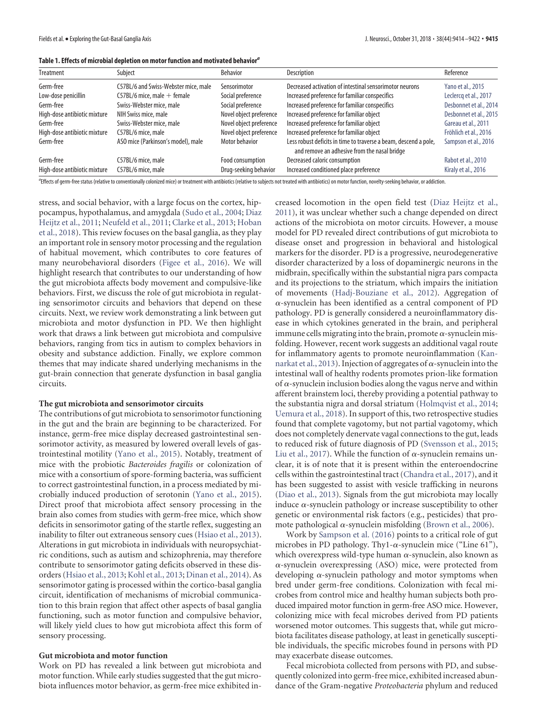<span id="page-1-0"></span>

|  | Table 1. Effects of microbial depletion on motor function and motivated behavior <sup>a</sup> |  |  |  |
|--|-----------------------------------------------------------------------------------------------|--|--|--|
|  |                                                                                               |  |  |  |

| Treatment                    | Subject                              | <b>Behavior</b>         | Description                                                                                                      | Reference              |
|------------------------------|--------------------------------------|-------------------------|------------------------------------------------------------------------------------------------------------------|------------------------|
| Germ-free                    | C57BL/6 and Swiss-Webster mice, male | Sensorimotor            | Decreased activation of intestinal sensorimotor neurons                                                          | Yano et al., 2015      |
| Low-dose penicillin          | $C57BL/6$ mice, male $+$ female      | Social preference       | Increased preference for familiar conspecifics                                                                   | Leclercq et al., 2017  |
| Germ-free                    | Swiss-Webster mice, male             | Social preference       | Increased preference for familiar conspecifics                                                                   | Desbonnet et al., 2014 |
| High-dose antibiotic mixture | NIH Swiss mice, male                 | Novel object preference | Increased preference for familiar object                                                                         | Desbonnet et al., 2015 |
| Germ-free                    | Swiss-Webster mice, male             | Novel object preference | Increased preference for familiar object                                                                         | Gareau et al., 2011    |
| High-dose antibiotic mixture | C57BL/6 mice, male                   | Novel object preference | Increased preference for familiar object                                                                         | Fröhlich et al., 2016  |
| Germ-free                    | ASO mice (Parkinson's model), male   | Motor behavior          | Less robust deficits in time to traverse a beam, descend a pole,<br>and remove an adhesive from the nasal bridge | Sampson et al., 2016   |
| Germ-free                    | C57BL/6 mice, male                   | Food consumption        | Decreased caloric consumption                                                                                    | Rabot et al., 2010     |
| High-dose antibiotic mixture | C57BL/6 mice, male                   | Drug-seeking behavior   | Increased conditioned place preference                                                                           | Kiraly et al., 2016    |

*a* Effects of germ-free status (relative to conventionally colonized mice) or treatment with antibiotics (relative to subjects not treated with antibiotics) on motor function, novelty-seeking behavior, or addiction.

stress, and social behavior, with a large focus on the cortex, hippocampus, hypothalamus, and amygdala [\(Sudo et al., 2004;](#page-8-0) [Diaz](#page-5-1) [Heijtz et al., 2011;](#page-5-1) [Neufeld et al., 2011;](#page-7-4) [Clarke et al., 2013;](#page-5-2) [Hoban](#page-6-5) [et al., 2018\)](#page-6-5). This review focuses on the basal ganglia, as they play an important role in sensory motor processing and the regulation of habitual movement, which contributes to core features of many neurobehavioral disorders [\(Figee et al., 2016\)](#page-6-6). We will highlight research that contributes to our understanding of how the gut microbiota affects body movement and compulsive-like behaviors. First, we discuss the role of gut microbiota in regulating sensorimotor circuits and behaviors that depend on these circuits. Next, we review work demonstrating a link between gut microbiota and motor dysfunction in PD. We then highlight work that draws a link between gut microbiota and compulsive behaviors, ranging from tics in autism to complex behaviors in obesity and substance addiction. Finally, we explore common themes that may indicate shared underlying mechanisms in the gut-brain connection that generate dysfunction in basal ganglia circuits.

## **The gut microbiota and sensorimotor circuits**

The contributions of gut microbiota to sensorimotor functioning in the gut and the brain are beginning to be characterized. For instance, germ-free mice display decreased gastrointestinal sensorimotor activity, as measured by lowered overall levels of gastrointestinal motility [\(Yano et al., 2015\)](#page-8-1). Notably, treatment of mice with the probiotic *Bacteroides fragilis* or colonization of mice with a consortium of spore-forming bacteria, was sufficient to correct gastrointestinal function, in a process mediated by microbially induced production of serotonin [\(Yano et al., 2015\)](#page-8-1). Direct proof that microbiota affect sensory processing in the brain also comes from studies with germ-free mice, which show deficits in sensorimotor gating of the startle reflex, suggesting an inability to filter out extraneous sensory cues [\(Hsiao et al., 2013\)](#page-6-3). Alterations in gut microbiota in individuals with neuropsychiatric conditions, such as autism and schizophrenia, may therefore contribute to sensorimotor gating deficits observed in these disorders [\(Hsiao et al., 2013;](#page-6-3) [Kohl et al., 2013;](#page-6-7) [Dinan et al., 2014\)](#page-5-3). As sensorimotor gating is processed within the cortico-basal ganglia circuit, identification of mechanisms of microbial communication to this brain region that affect other aspects of basal ganglia functioning, such as motor function and compulsive behavior, will likely yield clues to how gut microbiota affect this form of sensory processing.

#### **Gut microbiota and motor function**

Work on PD has revealed a link between gut microbiota and motor function. While early studies suggested that the gut microbiota influences motor behavior, as germ-free mice exhibited increased locomotion in the open field test [\(Diaz Heijtz et al.,](#page-5-1) [2011\)](#page-5-1), it was unclear whether such a change depended on direct actions of the microbiota on motor circuits. However, a mouse model for PD revealed direct contributions of gut microbiota to disease onset and progression in behavioral and histological markers for the disorder. PD is a progressive, neurodegenerative disorder characterized by a loss of dopaminergic neurons in the midbrain, specifically within the substantial nigra pars compacta and its projections to the striatum, which impairs the initiation of movements [\(Hadj-Bouziane et al., 2012\)](#page-6-8). Aggregation of  $\alpha$ -synuclein has been identified as a central component of PD pathology. PD is generally considered a neuroinflammatory disease in which cytokines generated in the brain, and peripheral immune cells migrating into the brain, promote  $\alpha$ -synuclein misfolding. However, recent work suggests an additional vagal route for inflammatory agents to promote neuroinflammation [\(Kan](#page-6-9)[narkat et al., 2013\)](#page-6-9). Injection of aggregates of  $\alpha$ -synuclein into the intestinal wall of healthy rodents promotes prion-like formation of  $\alpha$ -synuclein inclusion bodies along the vagus nerve and within afferent brainstem loci, thereby providing a potential pathway to the substantia nigra and dorsal striatum [\(Holmqvist et al., 2014;](#page-6-10) [Uemura et al., 2018\)](#page-8-2). In support of this, two retrospective studies found that complete vagotomy, but not partial vagotomy, which does not completely denervate vagal connections to the gut, leads to reduced risk of future diagnosis of PD [\(Svensson et al., 2015;](#page-8-3) [Liu et al., 2017\)](#page-7-6). While the function of  $\alpha$ -synuclein remains unclear, it is of note that it is present within the enteroendocrine cells within the gastrointestinal tract [\(Chandra et al., 2017\)](#page-5-4), and it has been suggested to assist with vesicle trafficking in neurons [\(Diao et al., 2013\)](#page-5-5). Signals from the gut microbiota may locally induce  $\alpha$ -synuclein pathology or increase susceptibility to other genetic or environmental risk factors (e.g., pesticides) that promote pathological  $\alpha$ -synuclein misfolding [\(Brown et al., 2006\)](#page-5-6).

Work by [Sampson et al. \(2016\)](#page-7-5) points to a critical role of gut microbes in PD pathology. Thy1- $\alpha$ -synuclein mice ("Line 61"), which overexpress wild-type human  $\alpha$ -synuclein, also known as --synuclein overexpressing (ASO) mice, were protected from developing  $\alpha$ -synuclein pathology and motor symptoms when bred under germ-free conditions. Colonization with fecal microbes from control mice and healthy human subjects both produced impaired motor function in germ-free ASO mice. However, colonizing mice with fecal microbes derived from PD patients worsened motor outcomes. This suggests that, while gut microbiota facilitates disease pathology, at least in genetically susceptible individuals, the specific microbes found in persons with PD may exacerbate disease outcomes.

Fecal microbiota collected from persons with PD, and subsequently colonized into germ-free mice, exhibited increased abundance of the Gram-negative *Proteobacteria* phylum and reduced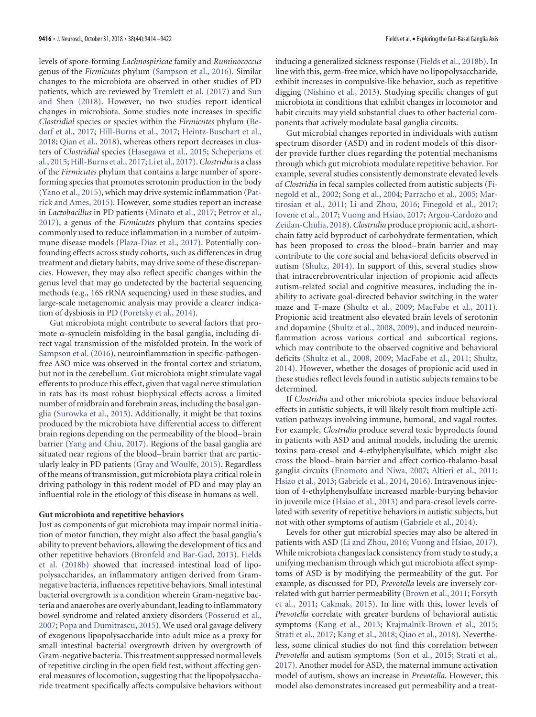levels of spore-forming *Lachnospiricae* family and *Ruminococcus* genus of the *Firmicutes* phylum [\(Sampson et al., 2016\)](#page-7-5). Similar changes to the microbiota are observed in other studies of PD patients, which are reviewed by [Tremlett et al. \(2017\)](#page-8-4) and [Sun](#page-8-5) [and Shen \(2018\)](#page-8-5). However, no two studies report identical changes in microbiota. Some studies note increases in specific *Clostridial* species or species within the *Firmicutes* phylum [\(Be](#page-5-9)[darf et al., 2017;](#page-5-9) [Hill-Burns et al., 2017;](#page-6-13) [Heintz-Buschart et al.,](#page-6-14) [2018;](#page-6-14) [Qian et al., 2018\)](#page-7-9), whereas others report decreases in clusters of *Clostridial* species [\(Hasegawa et al., 2015;](#page-6-15) [Scheperjans et](#page-7-10) [al., 2015;](#page-7-10)[Hill-Burns et al., 2017;](#page-6-13) [Li et al., 2017\)](#page-7-11).*Clostridia* is a class of the *Firmicutes* phylum that contains a large number of sporeforming species that promotes serotonin production in the body [\(Yano et al., 2015\)](#page-8-1), which may drive systemic inflammation [\(Pat](#page-7-12)[rick and Ames, 2015\)](#page-7-12). However, some studies report an increase in *Lactobacillus* in PD patients [\(Minato et al., 2017;](#page-7-13) [Petrov et al.,](#page-7-14) [2017\)](#page-7-14), a genus of the *Firmicutes* phylum that contains species commonly used to reduce inflammation in a number of autoimmune disease models [\(Plaza-Díaz et al., 2017\)](#page-7-15). Potentially confounding effects across study cohorts, such as differences in drug treatment and dietary habits, may drive some of these discrepancies. However, they may also reflect specific changes within the genus level that may go undetected by the bacterial sequencing methods (e.g., 16S rRNA sequencing) used in these studies, and large-scale metagenomic analysis may provide a clearer indication of dysbiosis in PD [\(Poretsky et al., 2014\)](#page-7-16).

Gut microbiota might contribute to several factors that promote  $\alpha$ -synuclein misfolding in the basal ganglia, including direct vagal transmission of the misfolded protein. In the work of [Sampson et al. \(2016\)](#page-7-5), neuroinflammation in specific-pathogenfree ASO mice was observed in the frontal cortex and striatum, but not in the cerebellum. Gut microbiota might stimulate vagal efferents to produce this effect, given that vagal nerve stimulation in rats has its most robust biophysical effects across a limited number of midbrain and forebrain areas, including the basal ganglia [\(Surowka et al., 2015\)](#page-8-6). Additionally, it might be that toxins produced by the microbiota have differential access to different brain regions depending on the permeability of the blood– brain barrier [\(Yang and Chiu, 2017\)](#page-8-7). Regions of the basal ganglia are situated near regions of the blood– brain barrier that are particularly leaky in PD patients [\(Gray and Woulfe, 2015\)](#page-6-16). Regardless of the means of transmission, gut microbiota play a critical role in driving pathology in this rodent model of PD and may play an influential role in the etiology of this disease in humans as well.

#### **Gut microbiota and repetitive behaviors**

Just as components of gut microbiota may impair normal initiation of motor function, they might also affect the basal ganglia's ability to prevent behaviors, allowing the development of tics and other repetitive behaviors [\(Bronfeld and Bar-Gad, 2013\)](#page-5-10). [Fields](#page-5-11) [et al. \(2018b\)](#page-5-11) showed that increased intestinal load of lipopolysaccharides, an inflammatory antigen derived from Gramnegative bacteria, influences repetitive behaviors. Small intestinal bacterial overgrowth is a condition wherein Gram-negative bacteria and anaerobes are overly abundant, leading to inflammatory bowel syndrome and related anxiety disorders [\(Posserud et al.,](#page-7-17) [2007;](#page-7-17) [Popa and Dumitrascu, 2015\)](#page-7-18). We used oral gavage delivery of exogenous lipopolysaccharide into adult mice as a proxy for small intestinal bacterial overgrowth driven by overgrowth of Gram-negative bacteria. This treatment suppressed normal levels of repetitive circling in the open field test, without affecting general measures of locomotion, suggesting that the lipopolysaccharide treatment specifically affects compulsive behaviors without

inducing a generalized sickness response [\(Fields et al., 2018b\)](#page-5-11). In line with this, germ-free mice, which have no lipopolysaccharide, exhibit increases in compulsive-like behavior, such as repetitive digging [\(Nishino et al., 2013\)](#page-7-19). Studying specific changes of gut microbiota in conditions that exhibit changes in locomotor and habit circuits may yield substantial clues to other bacterial components that actively modulate basal ganglia circuits.

Gut microbial changes reported in individuals with autism spectrum disorder (ASD) and in rodent models of this disorder provide further clues regarding the potential mechanisms through which gut microbiota modulate repetitive behavior. For example, several studies consistently demonstrate elevated levels of *Clostridia* in fecal samples collected from autistic subjects [\(Fi](#page-6-17)[negold et al., 2002;](#page-6-17) [Song et al., 2004;](#page-8-8) [Parracho et al., 2005;](#page-7-20) [Mar](#page-7-21)[tirosian et al., 2011;](#page-7-21) [Li and Zhou, 2016;](#page-7-22) [Finegold et al., 2017;](#page-6-18) [Iovene et al., 2017;](#page-6-19) [Vuong and Hsiao, 2017;](#page-8-9) [Argou-Cardozo and](#page-5-12) [Zeidan-Chulia, 2018\)](#page-5-12).*Clostridia* produce propionic acid, a shortchain fatty acid byproduct of carbohydrate fermentation, which has been proposed to cross the blood– brain barrier and may contribute to the core social and behavioral deficits observed in autism [\(Shultz, 2014\)](#page-7-23). In support of this, several studies show that intracerebroventricular injection of propionic acid affects autism-related social and cognitive measures, including the inability to activate goal-directed behavior switching in the water maze and T-maze [\(Shultz et al., 2009;](#page-7-24) [MacFabe et al., 2011\)](#page-7-25). Propionic acid treatment also elevated brain levels of serotonin and dopamine [\(Shultz et al., 2008,](#page-7-26) [2009\)](#page-7-24), and induced neuroinflammation across various cortical and subcortical regions, which may contribute to the observed cognitive and behavioral deficits [\(Shultz et al., 2008,](#page-7-26) [2009;](#page-7-24) [MacFabe et al., 2011;](#page-7-25) [Shultz,](#page-7-23) [2014\)](#page-7-23). However, whether the dosages of propionic acid used in these studies reflect levels found in autistic subjects remains to be determined.

If *Clostridia* and other microbiota species induce behavioral effects in autistic subjects, it will likely result from multiple activation pathways involving immune, humoral, and vagal routes. For example, *Clostridia* produce several toxic byproducts found in patients with ASD and animal models, including the uremic toxins para-cresol and 4-ethylphenylsulfate, which might also cross the blood– brain barrier and affect cortico-thalamo-basal ganglia circuits [\(Enomoto and Niwa, 2007;](#page-5-13) [Altieri et al., 2011;](#page-5-14) [Hsiao et al., 2013;](#page-6-3) [Gabriele et al., 2014,](#page-6-20) [2016\)](#page-6-21). Intravenous injection of 4-ethylphenylsulfate increased marble-burying behavior in juvenile mice [\(Hsiao et al., 2013\)](#page-6-3) and para-cresol levels correlated with severity of repetitive behaviors in autistic subjects, but not with other symptoms of autism [\(Gabriele et al., 2014\)](#page-6-20).

Levels for other gut microbial species may also be altered in patients with ASD [\(Li and Zhou, 2016;](#page-7-22) [Vuong and Hsiao, 2017\)](#page-8-9). While microbiota changes lack consistency from study to study, a unifying mechanism through which gut microbiota affect symptoms of ASD is by modifying the permeability of the gut. For example, as discussed for PD, *Prevotella* levels are inversely correlated with gut barrier permeability [\(Brown et al., 2011;](#page-5-15) [Forsyth](#page-6-22) [et al., 2011;](#page-6-22) [Cakmak, 2015\)](#page-5-16). In line with this, lower levels of *Prevotella* correlate with greater burdens of behavioral autistic symptoms [\(Kang et al., 2013;](#page-6-23) [Krajmalnik-Brown et al., 2015;](#page-6-24) [Strati et al., 2017;](#page-8-10) [Kang et al., 2018;](#page-6-25) [Qiao et al., 2018\)](#page-7-27). Nevertheless, some clinical studies do not find this correlation between *Prevotella* and autism symptoms [\(Son et al., 2015;](#page-8-11) [Strati et al.,](#page-8-10) [2017\)](#page-8-10). Another model for ASD, the maternal immune activation model of autism, shows an increase in *Prevotella*. However, this model also demonstrates increased gut permeability and a treat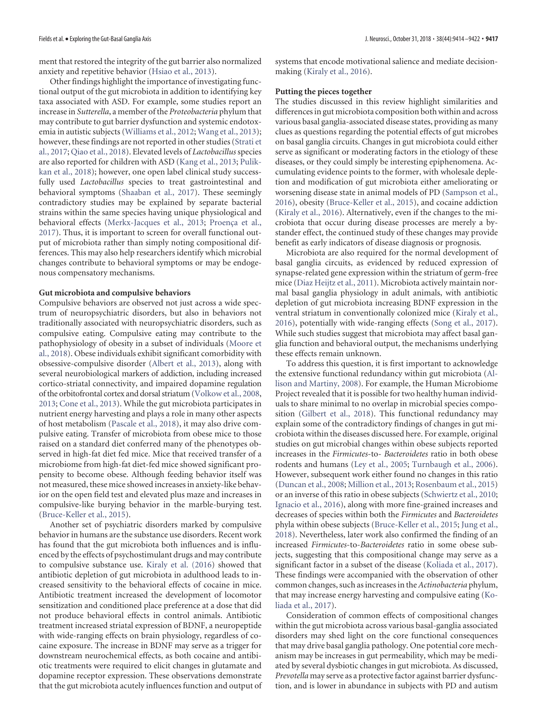ment that restored the integrity of the gut barrier also normalized anxiety and repetitive behavior [\(Hsiao et al., 2013\)](#page-6-3).

Other findings highlight the importance of investigating functional output of the gut microbiota in addition to identifying key taxa associated with ASD. For example, some studies report an increase in *Sutterella*, a member of the *Proteobacteria* phylum that may contribute to gut barrier dysfunction and systemic endotoxemia in autistic subjects [\(Williams et al., 2012;](#page-8-12) [Wang et al., 2013\)](#page-8-13); however, these findings are not reported in other studies [\(Strati et](#page-8-10) [al., 2017;](#page-8-10) [Qiao et al., 2018\)](#page-7-27). Elevated levels of *Lactobacillus*species are also reported for children with ASD [\(Kang et al., 2013;](#page-6-23) [Pulik](#page-7-28)[kan et al., 2018\)](#page-7-28); however, one open label clinical study successfully used *Lactobacillus* species to treat gastrointestinal and behavioral symptoms [\(Shaaban et al., 2017\)](#page-7-29). These seemingly contradictory studies may be explained by separate bacterial strains within the same species having unique physiological and behavioral effects [\(Merkx-Jacques et al., 2013;](#page-7-30) Proença et al., [2017\)](#page-7-31). Thus, it is important to screen for overall functional output of microbiota rather than simply noting compositional differences. This may also help researchers identify which microbial changes contribute to behavioral symptoms or may be endogenous compensatory mechanisms.

#### **Gut microbiota and compulsive behaviors**

Compulsive behaviors are observed not just across a wide spectrum of neuropsychiatric disorders, but also in behaviors not traditionally associated with neuropsychiatric disorders, such as compulsive eating. Compulsive eating may contribute to the pathophysiology of obesity in a subset of individuals [\(Moore et](#page-7-32) [al., 2018\)](#page-7-32). Obese individuals exhibit significant comorbidity with obsessive-compulsive disorder [\(Albert et al., 2013\)](#page-5-17), along with several neurobiological markers of addiction, including increased cortico-striatal connectivity, and impaired dopamine regulation of the orbitofrontal cortex and dorsal striatum [\(Volkow et al., 2008,](#page-8-14) [2013;](#page-8-15) [Cone et al., 2013\)](#page-5-18). While the gut microbiota participates in nutrient energy harvesting and plays a role in many other aspects of host metabolism [\(Pascale et al., 2018\)](#page-7-33), it may also drive compulsive eating. Transfer of microbiota from obese mice to those raised on a standard diet conferred many of the phenotypes observed in high-fat diet fed mice. Mice that received transfer of a microbiome from high-fat diet-fed mice showed significant propensity to become obese. Although feeding behavior itself was not measured, these mice showed increases in anxiety-like behavior on the open field test and elevated plus maze and increases in compulsive-like burying behavior in the marble-burying test. [\(Bruce-Keller et al., 2015\)](#page-5-19).

Another set of psychiatric disorders marked by compulsive behavior in humans are the substance use disorders. Recent work has found that the gut microbiota both influences and is influenced by the effects of psychostimulant drugs and may contribute to compulsive substance use. [Kiraly et al. \(2016\)](#page-6-4) showed that antibiotic depletion of gut microbiota in adulthood leads to increased sensitivity to the behavioral effects of cocaine in mice. Antibiotic treatment increased the development of locomotor sensitization and conditioned place preference at a dose that did not produce behavioral effects in control animals. Antibiotic treatment increased striatal expression of BDNF, a neuropeptide with wide-ranging effects on brain physiology, regardless of cocaine exposure. The increase in BDNF may serve as a trigger for downstream neurochemical effects, as both cocaine and antibiotic treatments were required to elicit changes in glutamate and dopamine receptor expression. These observations demonstrate that the gut microbiota acutely influences function and output of systems that encode motivational salience and mediate decisionmaking [\(Kiraly et al., 2016\)](#page-6-4).

# **Putting the pieces together**

The studies discussed in this review highlight similarities and differences in gut microbiota composition both within and across various basal ganglia-associated disease states, providing as many clues as questions regarding the potential effects of gut microbes on basal ganglia circuits. Changes in gut microbiota could either serve as significant or moderating factors in the etiology of these diseases, or they could simply be interesting epiphenomena. Accumulating evidence points to the former, with wholesale depletion and modification of gut microbiota either ameliorating or worsening disease state in animal models of PD [\(Sampson et al.,](#page-7-5) [2016\)](#page-7-5), obesity [\(Bruce-Keller et al., 2015\)](#page-5-19), and cocaine addiction [\(Kiraly et al., 2016\)](#page-6-4). Alternatively, even if the changes to the microbiota that occur during disease processes are merely a bystander effect, the continued study of these changes may provide benefit as early indicators of disease diagnosis or prognosis.

Microbiota are also required for the normal development of basal ganglia circuits, as evidenced by reduced expression of synapse-related gene expression within the striatum of germ-free mice [\(Diaz Heijtz et al., 2011\)](#page-5-1). Microbiota actively maintain normal basal ganglia physiology in adult animals, with antibiotic depletion of gut microbiota increasing BDNF expression in the ventral striatum in conventionally colonized mice [\(Kiraly et al.,](#page-6-4) [2016\)](#page-6-4), potentially with wide-ranging effects [\(Song et al., 2017\)](#page-8-16). While such studies suggest that microbiota may affect basal ganglia function and behavioral output, the mechanisms underlying these effects remain unknown.

To address this question, it is first important to acknowledge the extensive functional redundancy within gut microbiota [\(Al](#page-5-20)[lison and Martiny, 2008\)](#page-5-20). For example, the Human Microbiome Project revealed that it is possible for two healthy human individuals to share minimal to no overlap in microbial species composition [\(Gilbert et al., 2018\)](#page-6-26). This functional redundancy may explain some of the contradictory findings of changes in gut microbiota within the diseases discussed here. For example, original studies on gut microbial changes within obese subjects reported increases in the *Firmicutes*-to- *Bacteroidetes* ratio in both obese rodents and humans [\(Ley et al., 2005;](#page-7-34) [Turnbaugh et al., 2006\)](#page-8-17). However, subsequent work either found no changes in this ratio [\(Duncan et al., 2008;](#page-5-21) [Million et al., 2013;](#page-7-35) [Rosenbaum et al., 2015\)](#page-7-1) or an inverse of this ratio in obese subjects [\(Schwiertz et al., 2010;](#page-7-36) [Ignacio et al., 2016\)](#page-6-27), along with more fine-grained increases and decreases of species within both the *Firmicutes* and *Bacteroidetes* phyla within obese subjects [\(Bruce-Keller et al., 2015;](#page-5-19) [Jung et al.,](#page-6-28) [2018\)](#page-6-28). Nevertheless, later work also confirmed the finding of an increased *Firmicutes*-to-*Bacteroidetes* ratio in some obese subjects, suggesting that this compositional change may serve as a significant factor in a subset of the disease [\(Koliada et al., 2017\)](#page-6-29). These findings were accompanied with the observation of other common changes, such as increases in the *Actinobacteria* phylum, that may increase energy harvesting and compulsive eating [\(Ko](#page-6-29)[liada et al., 2017\)](#page-6-29).

Consideration of common effects of compositional changes within the gut microbiota across various basal-ganglia associated disorders may shed light on the core functional consequences that may drive basal ganglia pathology. One potential core mechanism may be increases in gut permeability, which may be mediated by several dysbiotic changes in gut microbiota. As discussed, *Prevotella* may serve as a protective factor against barrier dysfunction, and is lower in abundance in subjects with PD and autism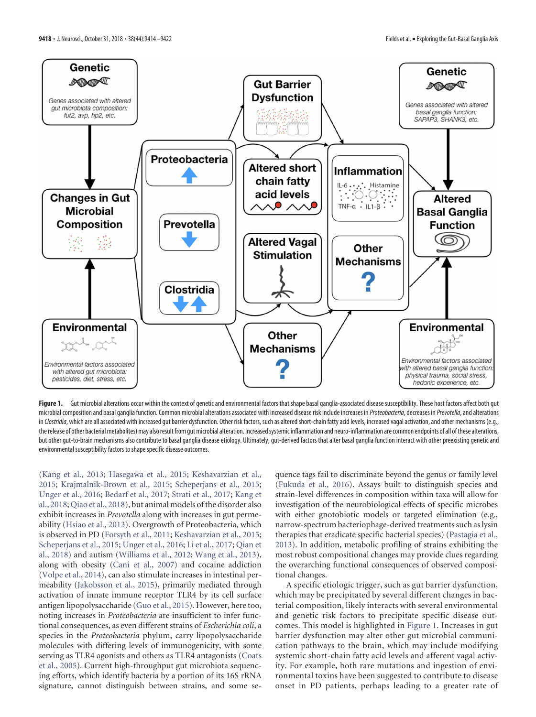

<span id="page-4-0"></span>Figure 1. Gut microbial alterations occur within the context of genetic and environmental factors that shape basal ganglia-associated disease susceptibility. These host factors affect both gut microbial composition and basal ganglia function. Common microbial alterations associated with increased disease risk include increases in *Proteobacteria*, decreases in *Prevotella*, and alterations in *Clostridia*, which are all associated with increased gut barrier dysfunction. Other risk factors, such as altered short-chain fatty acid levels, increased vagal activation, and other mechanisms (e.g., the release of other bacterial metabolites) may also result from gut microbial alteration. Increased systemic inflammation and neuro-inflammation are common endpoints of all of these alterations, but other gut-to-brain mechanisms also contribute to basal ganglia disease etiology. Ultimately, gut-derived factors that alter basal ganglia function interact with other preexisting genetic and environmental susceptibility factors to shape specific disease outcomes.

[\(Kang et al., 2013;](#page-6-23) [Hasegawa et al., 2015;](#page-6-15) [Keshavarzian et al.,](#page-6-30) [2015;](#page-6-30) [Krajmalnik-Brown et al., 2015;](#page-6-24) [Scheperjans et al., 2015;](#page-7-10) [Unger et al., 2016;](#page-8-18) [Bedarf et al., 2017;](#page-5-9) [Strati et al., 2017;](#page-8-10) [Kang et](#page-6-25) [al., 2018;](#page-6-25) [Qiao et al., 2018\)](#page-7-27), but animal models of the disorder also exhibit increases in *Prevotella* along with increases in gut permeability [\(Hsiao et al., 2013\)](#page-6-3). Overgrowth of Proteobacteria, which is observed in PD [\(Forsyth et al., 2011;](#page-6-22) [Keshavarzian et al., 2015;](#page-6-30) [Scheperjans et al., 2015;](#page-7-10) [Unger et al., 2016;](#page-8-18) [Li et al., 2017;](#page-7-11) [Qian et](#page-7-9) [al., 2018\)](#page-7-9) and autism [\(Williams et al., 2012;](#page-8-12) [Wang et al., 2013\)](#page-8-13), along with obesity [\(Cani et al., 2007\)](#page-5-22) and cocaine addiction [\(Volpe et al., 2014\)](#page-8-19), can also stimulate increases in intestinal permeability [\(Jakobsson et al., 2015\)](#page-6-31), primarily mediated through activation of innate immune receptor TLR4 by its cell surface antigen lipopolysaccharide [\(Guo et al., 2015\)](#page-6-32). However, here too, noting increases in *Proteobacteria* are insufficient to infer functional consequences, as even different strains of *Escherichia coli*, a species in the *Proteobacteria* phylum, carry lipopolysaccharide molecules with differing levels of immunogenicity, with some serving as TLR4 agonists and others as TLR4 antagonists [\(Coats](#page-5-23) [et al., 2005\)](#page-5-23). Current high-throughput gut microbiota sequencing efforts, which identify bacteria by a portion of its 16S rRNA signature, cannot distinguish between strains, and some sequence tags fail to discriminate beyond the genus or family level [\(Fukuda et al., 2016\)](#page-6-33). Assays built to distinguish species and strain-level differences in composition within taxa will allow for investigation of the neurobiological effects of specific microbes with either gnotobiotic models or targeted elimination (e.g., narrow-spectrum bacteriophage-derived treatments such as lysin therapies that eradicate specific bacterial species) [\(Pastagia et al.,](#page-7-37) [2013\)](#page-7-37). In addition, metabolic profiling of strains exhibiting the most robust compositional changes may provide clues regarding the overarching functional consequences of observed compositional changes.

A specific etiologic trigger, such as gut barrier dysfunction, which may be precipitated by several different changes in bacterial composition, likely interacts with several environmental and genetic risk factors to precipitate specific disease outcomes. This model is highlighted in [Figure 1.](#page-4-0) Increases in gut barrier dysfunction may alter other gut microbial communication pathways to the brain, which may include modifying systemic short-chain fatty acid levels and afferent vagal activity. For example, both rare mutations and ingestion of environmental toxins have been suggested to contribute to disease onset in PD patients, perhaps leading to a greater rate of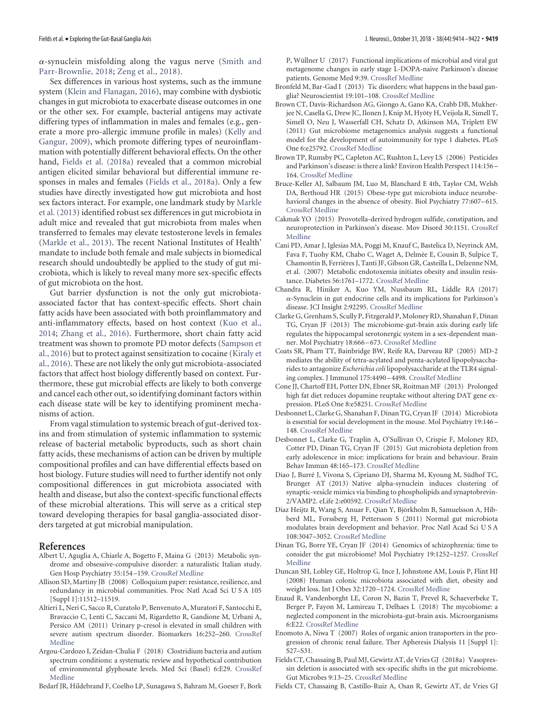--synuclein misfolding along the vagus nerve [\(Smith and](#page-7-38) [Parr-Brownlie, 2018;](#page-7-38) [Zeng et al., 2018\)](#page-8-20).

Sex differences in various host systems, such as the immune system [\(Klein and Flanagan, 2016\)](#page-6-34), may combine with dysbiotic changes in gut microbiota to exacerbate disease outcomes in one or the other sex. For example, bacterial antigens may activate differing types of inflammation in males and females (e.g., generate a more pro-allergic immune profile in males) [\(Kelly and](#page-6-35) [Gangur, 2009\)](#page-6-35), which promote differing types of neuroinflammation with potentially different behavioral effects. On the other hand, [Fields et al. \(2018a\)](#page-5-24) revealed that a common microbial antigen elicited similar behavioral but differential immune responses in males and females [\(Fields et al., 2018a\)](#page-5-24). Only a few studies have directly investigated how gut microbiota and host sex factors interact. For example, one landmark study by [Markle](#page-7-39) [et al. \(2013\)](#page-7-39) identified robust sex differences in gut microbiota in adult mice and revealed that gut microbiota from males when transferred to females may elevate testosterone levels in females [\(Markle et al., 2013\)](#page-7-39). The recent National Institutes of Health' mandate to include both female and male subjects in biomedical research should undoubtedly be applied to the study of gut microbiota, which is likely to reveal many more sex-specific effects of gut microbiota on the host.

Gut barrier dysfunction is not the only gut microbiotaassociated factor that has context-specific effects. Short chain fatty acids have been associated with both proinflammatory and anti-inflammatory effects, based on host context [\(Kuo et al.,](#page-6-36) [2014;](#page-6-36) [Zhang et al., 2016\)](#page-8-21). Furthermore, short chain fatty acid treatment was shown to promote PD motor defects [\(Sampson et](#page-7-5) [al., 2016\)](#page-7-5) but to protect against sensitization to cocaine [\(Kiraly et](#page-6-4) [al., 2016\)](#page-6-4). These are not likely the only gut microbiota-associated factors that affect host biology differently based on context. Furthermore, these gut microbial effects are likely to both converge and cancel each other out, so identifying dominant factors within each disease state will be key to identifying prominent mechanisms of action.

From vagal stimulation to systemic breach of gut-derived toxins and from stimulation of systemic inflammation to systemic release of bacterial metabolic byproducts, such as short chain fatty acids, these mechanisms of action can be driven by multiple compositional profiles and can have differential effects based on host biology. Future studies will need to further identify not only compositional differences in gut microbiota associated with health and disease, but also the context-specific functional effects of these microbial alterations. This will serve as a critical step toward developing therapies for basal ganglia-associated disorders targeted at gut microbial manipulation.

## <span id="page-5-17"></span>**References**

- Albert U, Aguglia A, Chiarle A, Bogetto F, Maina G (2013) Metabolic syndrome and obsessive-compulsive disorder: a naturalistic Italian study. Gen Hosp Psychiatry 35:154 –159. [CrossRef](http://dx.doi.org/10.1016/j.genhosppsych.2012.10.004) [Medline](http://www.ncbi.nlm.nih.gov/pubmed/23158675)
- <span id="page-5-20"></span>Allison SD, Martiny JB (2008) Colloquium paper: resistance, resilience, and redundancy in microbial communities. Proc Natl Acad Sci U S A 105 [Suppl 1]:11512–11519.
- <span id="page-5-14"></span>Altieri L, Neri C, Sacco R, Curatolo P, Benvenuto A, Muratori F, Santocchi E, Bravaccio C, Lenti C, Saccani M, Rigardetto R, Gandione M, Urbani A, Persico AM (2011) Urinary p-cresol is elevated in small children with severe autism spectrum disorder. Biomarkers 16:252–260. [CrossRef](http://dx.doi.org/10.3109/1354750X.2010.548010) [Medline](http://www.ncbi.nlm.nih.gov/pubmed/21329489)
- <span id="page-5-12"></span>Argou-Cardozo I, Zeidan-Chulia F (2018) Clostridium bacteria and autism spectrum conditions: a systematic review and hypothetical contribution of environmental glyphosate levels. Med Sci (Basel) 6:E29. [CrossRef](http://dx.doi.org/10.3390/medsci6020029) [Medline](http://www.ncbi.nlm.nih.gov/pubmed/29617356)
- <span id="page-5-9"></span>Bedarf JR, Hildebrand F, Coelho LP, Sunagawa S, Bahram M, Goeser F, Bork

P, Wüllner U (2017) Functional implications of microbial and viral gut metagenome changes in early stage L-DOPA-naive Parkinson's disease patients. Genome Med 9:39. [CrossRef](http://dx.doi.org/10.1186/s13073-017-0428-y) [Medline](http://www.ncbi.nlm.nih.gov/pubmed/28449715)

- <span id="page-5-10"></span>Bronfeld M, Bar-Gad I (2013) Tic disorders: what happens in the basal ganglia? Neuroscientist 19:101–108. [CrossRef](http://dx.doi.org/10.1177/1073858412444466) [Medline](http://www.ncbi.nlm.nih.gov/pubmed/22596263)
- <span id="page-5-15"></span>Brown CT, Davis-Richardson AG, Giongo A, Gano KA, Crabb DB, Mukherjee N, Casella G, Drew JC, Ilonen J, Knip M, Hyöty H, Veijola R, Simell T, Simell O, Neu J, Wasserfall CH, Schatz D, Atkinson MA, Triplett EW (2011) Gut microbiome metagenomics analysis suggests a functional model for the development of autoimmunity for type 1 diabetes. PLoS One 6:e25792. [CrossRef](http://dx.doi.org/10.1371/journal.pone.0025792) [Medline](http://www.ncbi.nlm.nih.gov/pubmed/22043294)
- <span id="page-5-6"></span>Brown TP, Rumsby PC, Capleton AC, Rushton L, Levy LS (2006) Pesticides and Parkinson's disease: is there a link? Environ Health Perspect 114:156 – 164. [CrossRef](http://dx.doi.org/10.1289/ehp.8095) [Medline](http://www.ncbi.nlm.nih.gov/pubmed/16451848)
- <span id="page-5-19"></span>Bruce-Keller AJ, Salbaum JM, Luo M, Blanchard E 4th, Taylor CM, Welsh DA, Berthoud HR (2015) Obese-type gut microbiota induce neurobehavioral changes in the absence of obesity. Biol Psychiatry 77:607–615. [CrossRef](http://dx.doi.org/10.1016/j.biopsych.2014.07.012) [Medline](http://www.ncbi.nlm.nih.gov/pubmed/25173628)
- <span id="page-5-16"></span>Cakmak YO (2015) Provotella-derived hydrogen sulfide, constipation, and neuroprotection in Parkinson's disease. Mov Disord 30:1151. [CrossRef](http://dx.doi.org/10.1002/mds.26258) [Medline](http://www.ncbi.nlm.nih.gov/pubmed/25970839)
- <span id="page-5-22"></span>Cani PD, Amar J, Iglesias MA, Poggi M, Knauf C, Bastelica D, Neyrinck AM, Fava F, Tuohy KM, Chabo C, Waget A, Delmée E, Cousin B, Sulpice T, Chamontin B, Ferrières J, Tanti JF, Gibson GR, Casteilla L, Delzenne NM, et al. (2007) Metabolic endotoxemia initiates obesity and insulin resistance. Diabetes 56:1761–1772. [CrossRef](http://dx.doi.org/10.2337/db06-1491) [Medline](http://www.ncbi.nlm.nih.gov/pubmed/17456850)
- <span id="page-5-4"></span>Chandra R, Hiniker A, Kuo YM, Nussbaum RL, Liddle RA (2017) --Synuclein in gut endocrine cells and its implications for Parkinson's disease. JCI Insight 2:92295. [CrossRef](http://dx.doi.org/10.1172/jci.insight.92295) [Medline](http://www.ncbi.nlm.nih.gov/pubmed/28614796)
- <span id="page-5-2"></span>Clarke G, Grenham S, Scully P, Fitzgerald P, Moloney RD, Shanahan F, Dinan TG, Cryan JF (2013) The microbiome-gut-brain axis during early life regulates the hippocampal serotonergic system in a sex-dependent manner. Mol Psychiatry 18:666 –673. [CrossRef](http://dx.doi.org/10.1038/mp.2012.77) [Medline](http://www.ncbi.nlm.nih.gov/pubmed/22688187)
- <span id="page-5-23"></span>Coats SR, Pham TT, Bainbridge BW, Reife RA, Darveau RP (2005) MD-2 mediates the ability of tetra-acylated and penta-acylated lipopolysaccharides to antagonize *Escherichia coli* lipopolysaccharide at the TLR4 signaling complex. J Immunol 175:4490 –4498. [CrossRef](http://dx.doi.org/10.4049/jimmunol.175.7.4490) [Medline](http://www.ncbi.nlm.nih.gov/pubmed/16177092)
- <span id="page-5-18"></span>Cone JJ, Chartoff EH, Potter DN, Ebner SR, Roitman MF (2013) Prolonged high fat diet reduces dopamine reuptake without altering DAT gene expression. PLoS One 8:e58251. [CrossRef](http://dx.doi.org/10.1371/journal.pone.0058251) [Medline](http://www.ncbi.nlm.nih.gov/pubmed/23516454)
- <span id="page-5-7"></span>Desbonnet L, Clarke G, Shanahan F, Dinan TG, Cryan JF (2014) Microbiota is essential for social development in the mouse. Mol Psychiatry 19:146 – 148. [CrossRef](http://dx.doi.org/10.1038/mp.2013.65) [Medline](http://www.ncbi.nlm.nih.gov/pubmed/23689536)
- <span id="page-5-8"></span>Desbonnet L, Clarke G, Traplin A, O'Sullivan O, Crispie F, Moloney RD, Cotter PD, Dinan TG, Cryan JF (2015) Gut microbiota depletion from early adolescence in mice: implications for brain and behaviour. Brain Behav Immun 48:165–173. [CrossRef](http://dx.doi.org/10.1016/j.bbi.2015.04.004) [Medline](http://www.ncbi.nlm.nih.gov/pubmed/25866195)
- <span id="page-5-5"></span>Diao J, Burré J, Vivona S, Cipriano DJ, Sharma M, Kyoung M, Südhof TC, Brunger AT (2013) Native alpha-synuclein induces clustering of synaptic-vesicle mimics via binding to phospholipids and synaptobrevin-2/VAMP2. eLife 2:e00592. [CrossRef](http://dx.doi.org/10.7554/eLife.00592) [Medline](http://www.ncbi.nlm.nih.gov/pubmed/23638301)
- <span id="page-5-1"></span>Diaz Heijtz R, Wang S, Anuar F, Qian Y, Björkholm B, Samuelsson A, Hibberd ML, Forssberg H, Pettersson S (2011) Normal gut microbiota modulates brain development and behavior. Proc Natl Acad Sci U S A 108:3047–3052. [CrossRef](http://dx.doi.org/10.1073/pnas.1010529108) [Medline](http://www.ncbi.nlm.nih.gov/pubmed/21282636)
- <span id="page-5-3"></span>Dinan TG, Borre YE, Cryan JF (2014) Genomics of schizophrenia: time to consider the gut microbiome? Mol Psychiatry 19:1252–1257. [CrossRef](http://dx.doi.org/10.1038/mp.2014.93) [Medline](http://www.ncbi.nlm.nih.gov/pubmed/25288135)
- <span id="page-5-21"></span>Duncan SH, Lobley GE, Holtrop G, Ince J, Johnstone AM, Louis P, Flint HJ (2008) Human colonic microbiota associated with diet, obesity and weight loss. Int J Obes 32:1720 –1724. [CrossRef](http://dx.doi.org/10.1038/ijo.2008.155) [Medline](http://www.ncbi.nlm.nih.gov/pubmed/18779823)
- <span id="page-5-0"></span>Enaud R, Vandenborght LE, Coron N, Bazin T, Prevel R, Schaeverbeke T, Berger P, Fayon M, Lamireau T, Delhaes L (2018) The mycobiome: a neglected component in the microbiota-gut-brain axis. Microorganisms 6:E22. [CrossRef](http://dx.doi.org/10.3390/microorganisms6010022) [Medline](http://www.ncbi.nlm.nih.gov/pubmed/29522426)
- <span id="page-5-13"></span>Enomoto A, Niwa T (2007) Roles of organic anion transporters in the progression of chronic renal failure. Ther Apheresis Dialysis 11 [Suppl 1]: S27–S31.
- <span id="page-5-24"></span>Fields CT, Chassaing B, Paul MJ, Gewirtz AT, de Vries GJ (2018a) Vasopressin deletion is associated with sex-specific shifts in the gut microbiome. Gut Microbes 9:13–25. [CrossRef](http://dx.doi.org/10.1080/19490976.2017.1356557) [Medline](http://www.ncbi.nlm.nih.gov/pubmed/28759308)
- <span id="page-5-11"></span>Fields CT, Chassaing B, Castillo-Ruiz A, Osan R, Gewirtz AT, de Vries GJ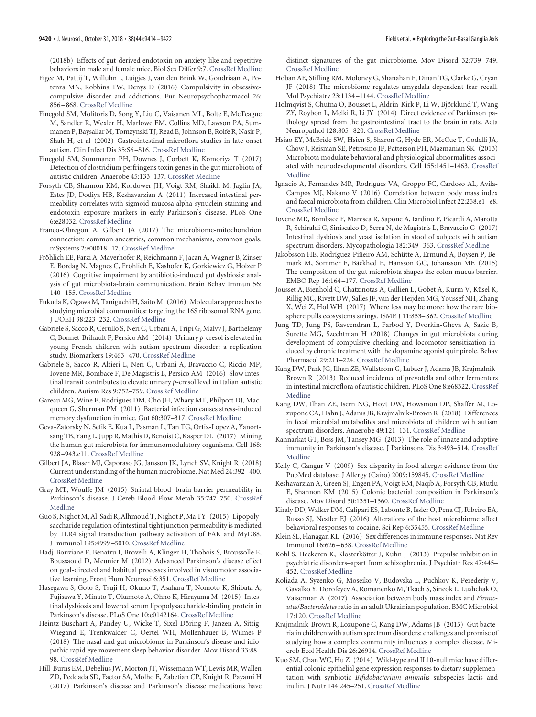(2018b) Effects of gut-derived endotoxin on anxiety-like and repetitive behaviors in male and female mice. Biol Sex Differ 9:7. [CrossRef](http://dx.doi.org/10.1186/s13293-018-0166-x) [Medline](http://www.ncbi.nlm.nih.gov/pubmed/29351816)

- <span id="page-6-6"></span>Figee M, Pattij T, Willuhn I, Luigjes J, van den Brink W, Goudriaan A, Potenza MN, Robbins TW, Denys D (2016) Compulsivity in obsessivecompulsive disorder and addictions. Eur Neuropsychopharmacol 26: 856 –868. [CrossRef](http://dx.doi.org/10.1016/j.euroneuro.2015.12.003) [Medline](http://www.ncbi.nlm.nih.gov/pubmed/26774279)
- <span id="page-6-17"></span>Finegold SM, Molitoris D, Song Y, Liu C, Vaisanen ML, Bolte E, McTeague M, Sandler R, Wexler H, Marlowe EM, Collins MD, Lawson PA, Summanen P, Baysallar M, Tomzynski TJ, Read E, Johnson E, Rolfe R, Nasir P, Shah H, et al (2002) Gastrointestinal microflora studies in late-onset autism. Clin Infect Dis 35:S6 –S16. [CrossRef](http://dx.doi.org/10.1086/341914) [Medline](http://www.ncbi.nlm.nih.gov/pubmed/12173102)
- <span id="page-6-18"></span>Finegold SM, Summanen PH, Downes J, Corbett K, Komoriya T (2017) Detection of clostridium perfringens toxin genes in the gut microbiota of autistic children. Anaerobe 45:133–137. [CrossRef](http://dx.doi.org/10.1016/j.anaerobe.2017.02.008) [Medline](http://www.ncbi.nlm.nih.gov/pubmed/28215985)
- <span id="page-6-22"></span>Forsyth CB, Shannon KM, Kordower JH, Voigt RM, Shaikh M, Jaglin JA, Estes JD, Dodiya HB, Keshavarzian A (2011) Increased intestinal permeability correlates with sigmoid mucosa alpha-synuclein staining and endotoxin exposure markers in early Parkinson's disease. PLoS One 6:e28032. [CrossRef](http://dx.doi.org/10.1371/journal.pone.0028032) [Medline](http://www.ncbi.nlm.nih.gov/pubmed/22145021)
- <span id="page-6-0"></span>Franco-Obregón A, Gilbert JA (2017) The microbiome-mitochondrion connection: common ancestries, common mechanisms, common goals. mSystems 2:e00018 –17. [CrossRef](http://dx.doi.org/10.1128/mSystems.00018-17) [Medline](http://www.ncbi.nlm.nih.gov/pubmed/28497122)
- <span id="page-6-12"></span>Fröhlich EE, Farzi A, Mayerhofer R, Reichmann F, Jacan A, Wagner B, Zinser E, Bordag N, Magnes C, Fröhlich E, Kashofer K, Gorkiewicz G, Holzer P (2016) Cognitive impairment by antibiotic-induced gut dysbiosis: analysis of gut microbiota-brain communication. Brain Behav Immun 56: 140 –155. [CrossRef](http://dx.doi.org/10.1016/j.bbi.2016.02.020) [Medline](http://www.ncbi.nlm.nih.gov/pubmed/26923630)
- <span id="page-6-33"></span>Fukuda K, Ogawa M, Taniguchi H, Saito M (2016) Molecular approaches to studying microbial communities: targeting the 16S ribosomal RNA gene. J UOEH 38:223–232. [CrossRef](http://dx.doi.org/10.7888/juoeh.38.223) [Medline](http://www.ncbi.nlm.nih.gov/pubmed/27627970)
- <span id="page-6-20"></span>Gabriele S, Sacco R, Cerullo S, Neri C, Urbani A, Tripi G, Malvy J, Barthelemy C, Bonnet-Brihault F, Persico AM (2014) Urinary *p*-cresol is elevated in young French children with autism spectrum disorder: a replication study. Biomarkers 19:463–470. [CrossRef](http://dx.doi.org/10.3109/1354750X.2014.936911) [Medline](http://www.ncbi.nlm.nih.gov/pubmed/25010144)
- <span id="page-6-21"></span>Gabriele S, Sacco R, Altieri L, Neri C, Urbani A, Bravaccio C, Riccio MP, Iovene MR, Bombace F, De Magistris L, Persico AM (2016) Slow intestinal transit contributes to elevate urinary *p*-cresol level in Italian autistic children. Autism Res 9:752–759. [CrossRef](http://dx.doi.org/10.1002/aur.1571) [Medline](http://www.ncbi.nlm.nih.gov/pubmed/26437875)
- <span id="page-6-11"></span>Gareau MG, Wine E, Rodrigues DM, Cho JH, Whary MT, Philpott DJ, Macqueen G, Sherman PM (2011) Bacterial infection causes stress-induced memory dysfunction in mice. Gut 60:307–317. [CrossRef](http://dx.doi.org/10.1136/gut.2009.202515) [Medline](http://www.ncbi.nlm.nih.gov/pubmed/20966022)
- <span id="page-6-1"></span>Geva-Zatorsky N, Sefik E, Kua L, Pasman L, Tan TG, Ortiz-Lopez A, Yanortsang TB, Yang L, Jupp R, Mathis D, Benoist C, Kasper DL (2017) Mining the human gut microbiota for immunomodulatory organisms. Cell 168: 928 –943.e11. [CrossRef](http://dx.doi.org/10.1016/j.cell.2017.01.022) [Medline](http://www.ncbi.nlm.nih.gov/pubmed/28215708)
- <span id="page-6-26"></span>Gilbert JA, Blaser MJ, Caporaso JG, Jansson JK, Lynch SV, Knight R (2018) Current understanding of the human microbiome. Nat Med 24:392–400. [CrossRef](http://dx.doi.org/10.1038/nm.4517) [Medline](http://www.ncbi.nlm.nih.gov/pubmed/29634682)
- <span id="page-6-16"></span>Gray MT, Woulfe JM (2015) Striatal blood– brain barrier permeability in Parkinson's disease. J Cereb Blood Flow Metab 35:747–750. [CrossRef](http://dx.doi.org/10.1038/jcbfm.2015.32) [Medline](http://www.ncbi.nlm.nih.gov/pubmed/25757748)
- <span id="page-6-32"></span>Guo S, Nighot M, Al-Sadi R, Alhmoud T, Nighot P, Ma TY (2015) Lipopolysaccharide regulation of intestinal tight junction permeability is mediated by TLR4 signal transduction pathway activation of FAK and MyD88. J Immunol 195:4999 –5010. [CrossRef](http://dx.doi.org/10.4049/jimmunol.1402598) [Medline](http://www.ncbi.nlm.nih.gov/pubmed/26466961)
- <span id="page-6-8"></span>Hadj-Bouziane F, Benatru I, Brovelli A, Klinger H, Thobois S, Broussolle E, Boussaoud D, Meunier M (2012) Advanced Parkinson's disease effect on goal-directed and habitual processes involved in visuomotor associative learning. Front Hum Neurosci 6:351. [CrossRef](http://dx.doi.org/10.3389/fnhum.2012.00351) [Medline](http://www.ncbi.nlm.nih.gov/pubmed/23386815)
- <span id="page-6-15"></span>Hasegawa S, Goto S, Tsuji H, Okuno T, Asahara T, Nomoto K, Shibata A, Fujisawa Y, Minato T, Okamoto A, Ohno K, Hirayama M (2015) Intestinal dysbiosis and lowered serum lipopolysaccharide-binding protein in Parkinson's disease. PLoS One 10:e0142164. [CrossRef](http://dx.doi.org/10.1371/journal.pone.0142164) [Medline](http://www.ncbi.nlm.nih.gov/pubmed/26539989)
- <span id="page-6-14"></span>Heintz-Buschart A, Pandey U, Wicke T, Sixel-Döring F, Janzen A, Sittig-Wiegand E, Trenkwalder C, Oertel WH, Mollenhauer B, Wilmes P (2018) The nasal and gut microbiome in Parkinson's disease and idiopathic rapid eye movement sleep behavior disorder. Mov Disord 33:88 – 98. [CrossRef](http://dx.doi.org/10.1002/mds.27105) [Medline](http://www.ncbi.nlm.nih.gov/pubmed/28843021)
- <span id="page-6-13"></span>Hill-Burns EM, Debelius JW, Morton JT, Wissemann WT, Lewis MR, Wallen ZD, Peddada SD, Factor SA, Molho E, Zabetian CP, Knight R, Payami H (2017) Parkinson's disease and Parkinson's disease medications have

distinct signatures of the gut microbiome. Mov Disord 32:739 –749. [CrossRef](http://dx.doi.org/10.1002/mds.26942) [Medline](http://www.ncbi.nlm.nih.gov/pubmed/28195358)

- <span id="page-6-5"></span>Hoban AE, Stilling RM, Moloney G, Shanahan F, Dinan TG, Clarke G, Cryan JF (2018) The microbiome regulates amygdala-dependent fear recall. Mol Psychiatry 23:1134 –1144. [CrossRef](http://dx.doi.org/10.1038/mp.2017.100) [Medline](http://www.ncbi.nlm.nih.gov/pubmed/28507320)
- <span id="page-6-10"></span>Holmqvist S, Chutna O, Bousset L, Aldrin-Kirk P, Li W, Björklund T, Wang ZY, Roybon L, Melki R, Li JY (2014) Direct evidence of Parkinson pathology spread from the gastrointestinal tract to the brain in rats. Acta Neuropathol 128:805–820. [CrossRef](http://dx.doi.org/10.1007/s00401-014-1343-6) [Medline](http://www.ncbi.nlm.nih.gov/pubmed/25296989)
- <span id="page-6-3"></span>Hsiao EY, McBride SW, Hsien S, Sharon G, Hyde ER, McCue T, Codelli JA, Chow J, Reisman SE, Petrosino JF, Patterson PH, Mazmanian SK (2013) Microbiota modulate behavioral and physiological abnormalities associated with neurodevelopmental disorders. Cell 155:1451–1463. [CrossRef](http://dx.doi.org/10.1016/j.cell.2013.11.024) [Medline](http://www.ncbi.nlm.nih.gov/pubmed/24315484)
- <span id="page-6-27"></span>Ignacio A, Fernandes MR, Rodrigues VA, Groppo FC, Cardoso AL, Avila-Campos MJ, Nakano V (2016) Correlation between body mass index and faecal microbiota from children. Clin Microbiol Infect 22:258.e1-e8. [CrossRef](http://dx.doi.org/10.1016/j.cmi.2015.10.031) [Medline](http://www.ncbi.nlm.nih.gov/pubmed/26551842)
- <span id="page-6-19"></span>Iovene MR, Bombace F, Maresca R, Sapone A, Iardino P, Picardi A, Marotta R, Schiraldi C, Siniscalco D, Serra N, de Magistris L, Bravaccio C (2017) Intestinal dysbiosis and yeast isolation in stool of subjects with autism spectrum disorders. Mycopathologia 182:349 –363. [CrossRef](http://dx.doi.org/10.1007/s11046-016-0068-6) [Medline](http://www.ncbi.nlm.nih.gov/pubmed/27655151)
- <span id="page-6-31"></span>Jakobsson HE, Rodríguez-Piñeiro AM, Schütte A, Ermund A, Boysen P, Bemark M, Sommer F, Bäckhed F, Hansson GC, Johansson ME (2015) The composition of the gut microbiota shapes the colon mucus barrier. EMBO Rep 16:164 –177. [CrossRef](http://dx.doi.org/10.15252/embr.201439263) [Medline](http://www.ncbi.nlm.nih.gov/pubmed/25525071)
- <span id="page-6-2"></span>Jousset A, Bienhold C, Chatzinotas A, Gallien L, Gobet A, Kurm V, Küsel K, Rillig MC, Rivett DW, Salles JF, van der Heijden MG, Youssef NH, Zhang X, Wei Z, Hol WH (2017) Where less may be more: how the rare biosphere pulls ecosystems strings. ISME J 11:853–862. [CrossRef](http://dx.doi.org/10.1038/ismej.2016.174) [Medline](http://www.ncbi.nlm.nih.gov/pubmed/28072420)
- <span id="page-6-28"></span>Jung TD, Jung PS, Raveendran L, Farbod Y, Dvorkin-Gheva A, Sakic B, Surette MG, Szechtman H (2018) Changes in gut microbiota during development of compulsive checking and locomotor sensitization induced by chronic treatment with the dopamine agonist quinpirole. Behav Pharmacol 29:211–224. [CrossRef](http://dx.doi.org/10.1097/FBP.0000000000000363) [Medline](http://www.ncbi.nlm.nih.gov/pubmed/29194070)
- <span id="page-6-23"></span>Kang DW, Park JG, Ilhan ZE, Wallstrom G, Labaer J, Adams JB, Krajmalnik-Brown R (2013) Reduced incidence of prevotella and other fermenters in intestinal microflora of autistic children. PLoS One 8:e68322. [CrossRef](http://dx.doi.org/10.1371/journal.pone.0068322) [Medline](http://www.ncbi.nlm.nih.gov/pubmed/23844187)
- <span id="page-6-25"></span>Kang DW, Ilhan ZE, Isern NG, Hoyt DW, Howsmon DP, Shaffer M, Lozupone CA, Hahn J, Adams JB, Krajmalnik-Brown R (2018) Differences in fecal microbial metabolites and microbiota of children with autism spectrum disorders. Anaerobe 49:121–131. [CrossRef](http://dx.doi.org/10.1016/j.anaerobe.2017.12.007) [Medline](http://www.ncbi.nlm.nih.gov/pubmed/29274915)
- <span id="page-6-9"></span>Kannarkat GT, Boss JM, Tansey MG (2013) The role of innate and adaptive immunity in Parkinson's disease. J Parkinsons Dis 3:493–514. [CrossRef](http://dx.doi.org/10.3233/JPD-130250) [Medline](http://www.ncbi.nlm.nih.gov/pubmed/24275605)
- <span id="page-6-35"></span>Kelly C, Gangur V (2009) Sex disparity in food allergy: evidence from the PubMed database. J Allergy (Cairo) 2009:159845. [CrossRef](http://dx.doi.org/10.1155/2009/159845) [Medline](http://www.ncbi.nlm.nih.gov/pubmed/20975795)
- <span id="page-6-30"></span>Keshavarzian A, Green SJ, Engen PA, Voigt RM, Naqib A, Forsyth CB, Mutlu E, Shannon KM (2015) Colonic bacterial composition in Parkinson's disease. Mov Disord 30:1351–1360. [CrossRef](http://dx.doi.org/10.1002/mds.26307) [Medline](http://www.ncbi.nlm.nih.gov/pubmed/26179554)
- <span id="page-6-4"></span>Kiraly DD, Walker DM, Calipari ES, Labonte B, Issler O, Pena CJ, Ribeiro EA, Russo SJ, Nestler EJ (2016) Alterations of the host microbiome affect behavioral responses to cocaine. Sci Rep 6:35455. [CrossRef](http://dx.doi.org/10.1038/srep35455) [Medline](http://www.ncbi.nlm.nih.gov/pubmed/27752130)
- <span id="page-6-34"></span>Klein SL, Flanagan KL (2016) Sex differences in immune responses. Nat Rev Immunol 16:626 –638. [CrossRef](http://dx.doi.org/10.1038/nri.2016.90) [Medline](http://www.ncbi.nlm.nih.gov/pubmed/27546235)
- <span id="page-6-7"></span>Kohl S, Heekeren K, Klosterkötter J, Kuhn J (2013) Prepulse inhibition in psychiatric disorders–apart from schizophrenia. J Psychiatr Res 47:445– 452. [CrossRef](http://dx.doi.org/10.1016/j.jpsychires.2012.11.018) [Medline](http://www.ncbi.nlm.nih.gov/pubmed/23287742)
- <span id="page-6-29"></span>Koliada A, Syzenko G, Moseiko V, Budovska L, Puchkov K, Perederiy V, Gavalko Y, Dorofeyev A, Romanenko M, Tkach S, Sineok L, Lushchak O, Vaiserman A (2017) Association between body mass index and *Firmicutes*/*Bacteroidetes*ratio in an adult Ukrainian population. BMC Microbiol 17:120. [CrossRef](http://dx.doi.org/10.1186/s12866-017-1027-1) [Medline](http://www.ncbi.nlm.nih.gov/pubmed/28532414)
- <span id="page-6-24"></span>Krajmalnik-Brown R, Lozupone C, Kang DW, Adams JB (2015) Gut bacteria in children with autism spectrum disorders: challenges and promise of studying how a complex community influences a complex disease. Microb Ecol Health Dis 26:26914. [CrossRef](http://dx.doi.org/10.3402/mehd.v26.26914) [Medline](http://www.ncbi.nlm.nih.gov/pubmed/25769266)
- <span id="page-6-36"></span>Kuo SM, Chan WC, Hu Z (2014) Wild-type and IL10-null mice have differential colonic epithelial gene expression responses to dietary supplementation with synbiotic *Bifidobacterium animalis* subspecies lactis and inulin. J Nutr 144:245–251. [CrossRef](http://dx.doi.org/10.3945/jn.113.185249) [Medline](http://www.ncbi.nlm.nih.gov/pubmed/24381223)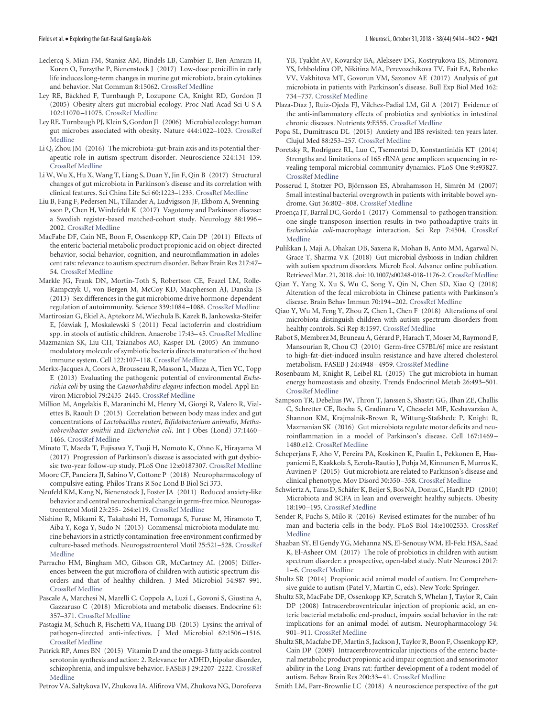- <span id="page-7-7"></span>Leclercq S, Mian FM, Stanisz AM, Bindels LB, Cambier E, Ben-Amram H, Koren O, Forsythe P, Bienenstock J (2017) Low-dose penicillin in early life induces long-term changes in murine gut microbiota, brain cytokines and behavior. Nat Commun 8:15062. [CrossRef](http://dx.doi.org/10.1038/ncomms15062) [Medline](http://www.ncbi.nlm.nih.gov/pubmed/28375200)
- <span id="page-7-34"></span>Ley RE, Bäckhed F, Turnbaugh P, Lozupone CA, Knight RD, Gordon JI (2005) Obesity alters gut microbial ecology. Proc Natl Acad Sci U S A 102:11070 –11075. [CrossRef](http://dx.doi.org/10.1073/pnas.0504978102) [Medline](http://www.ncbi.nlm.nih.gov/pubmed/16033867)
- <span id="page-7-3"></span>Ley RE, Turnbaugh PJ, Klein S, Gordon JI (2006) Microbial ecology: human gut microbes associated with obesity. Nature 444:1022–1023. [CrossRef](http://dx.doi.org/10.1038/4441022a) [Medline](http://www.ncbi.nlm.nih.gov/pubmed/17183309)
- <span id="page-7-22"></span>Li Q, Zhou JM (2016) The microbiota-gut-brain axis and its potential therapeutic role in autism spectrum disorder. Neuroscience 324:131–139. [CrossRef](http://dx.doi.org/10.1016/j.neuroscience.2016.03.013) [Medline](http://www.ncbi.nlm.nih.gov/pubmed/26964681)
- <span id="page-7-11"></span>Li W, Wu X, Hu X, Wang T, Liang S, Duan Y, Jin F, Qin B (2017) Structural changes of gut microbiota in Parkinson's disease and its correlation with clinical features. Sci China Life Sci 60:1223–1233. [CrossRef](http://dx.doi.org/10.1007/s11427-016-9001-4) [Medline](http://www.ncbi.nlm.nih.gov/pubmed/28536926)
- <span id="page-7-6"></span>Liu B, Fang F, Pedersen NL, Tillander A, Ludvigsson JF, Ekbom A, Svenningsson P, Chen H, Wirdefeldt K (2017) Vagotomy and Parkinson disease: a Swedish register-based matched-cohort study. Neurology 88:1996 – 2002. [CrossRef](http://dx.doi.org/10.1212/WNL.0000000000003961) [Medline](http://www.ncbi.nlm.nih.gov/pubmed/28446653)
- <span id="page-7-25"></span>MacFabe DF, Cain NE, Boon F, Ossenkopp KP, Cain DP (2011) Effects of the enteric bacterial metabolic product propionic acid on object-directed behavior, social behavior, cognition, and neuroinflammation in adolescent rats: relevance to autism spectrum disorder. Behav Brain Res 217:47– 54. [CrossRef](http://dx.doi.org/10.1016/j.bbr.2010.10.005) [Medline](http://www.ncbi.nlm.nih.gov/pubmed/20937326)
- <span id="page-7-39"></span>Markle JG, Frank DN, Mortin-Toth S, Robertson CE, Feazel LM, Rolle-Kampczyk U, von Bergen M, McCoy KD, Macpherson AJ, Danska JS (2013) Sex differences in the gut microbiome drive hormone-dependent regulation of autoimmunity. Science 339:1084 –1088. [CrossRef](http://dx.doi.org/10.1126/science.1233521) [Medline](http://www.ncbi.nlm.nih.gov/pubmed/23328391)
- <span id="page-7-21"></span>Martirosian G, Ekiel A, Aptekorz M, Wiechula B, Kazek B, Jankowska-Steifer E, Józwiak J, Moskalewski S (2011) Fecal lactoferrin and clostridium spp. in stools of autistic children. Anaerobe 17:43–45. [CrossRef](http://dx.doi.org/10.1016/j.anaerobe.2010.12.003) [Medline](http://www.ncbi.nlm.nih.gov/pubmed/21167951)
- <span id="page-7-2"></span>Mazmanian SK, Liu CH, Tzianabos AO, Kasper DL (2005) An immunomodulatory molecule of symbiotic bacteria directs maturation of the host immune system. Cell 122:107–118. [CrossRef](http://dx.doi.org/10.1016/j.cell.2005.05.007) [Medline](http://www.ncbi.nlm.nih.gov/pubmed/16009137)
- <span id="page-7-30"></span>Merkx-Jacques A, Coors A, Brousseau R, Masson L, Mazza A, Tien YC, Topp E (2013) Evaluating the pathogenic potential of environmental *Escherichia coli* by using the *Caenorhabditis elegans* infection model. Appl Environ Microbiol 79:2435–2445. [CrossRef](http://dx.doi.org/10.1128/AEM.03501-12) [Medline](http://www.ncbi.nlm.nih.gov/pubmed/23377948)
- <span id="page-7-35"></span>Million M, Angelakis E, Maraninchi M, Henry M, Giorgi R, Valero R, Vialettes B, Raoult D (2013) Correlation between body mass index and gut concentrations of *Lactobacillus reuteri*, *Bifidobacterium animalis*, *Methanobrevibacter smithii* and *Escherichia coli*. Int J Obes (Lond) 37:1460 – 1466. [CrossRef](http://dx.doi.org/10.1038/ijo.2013.20) [Medline](http://www.ncbi.nlm.nih.gov/pubmed/23459324)
- <span id="page-7-13"></span>Minato T, Maeda T, Fujisawa Y, Tsuji H, Nomoto K, Ohno K, Hirayama M (2017) Progression of Parkinson's disease is associated with gut dysbiosis: two-year follow-up study. PLoS One 12:e0187307. [CrossRef](http://dx.doi.org/10.1371/journal.pone.0187307) [Medline](http://www.ncbi.nlm.nih.gov/pubmed/29091972)
- <span id="page-7-32"></span>Moore CF, Panciera JI, Sabino V, Cottone P (2018) Neuropharmacology of compulsive eating. Philos Trans R Soc Lond B Biol Sci 373.
- <span id="page-7-4"></span>Neufeld KM, Kang N, Bienenstock J, Foster JA (2011) Reduced anxiety-like behavior and central neurochemical change in germ-free mice. Neurogastroenterol Motil 23:255- 264:e119. [CrossRef](http://dx.doi.org/10.1111/j.1365-2982.2010.01620.x) [Medline](http://www.ncbi.nlm.nih.gov/pubmed/21054680)
- <span id="page-7-19"></span>Nishino R, Mikami K, Takahashi H, Tomonaga S, Furuse M, Hiramoto T, Aiba Y, Koga Y, Sudo N (2013) Commensal microbiota modulate murine behaviors in a strictly contamination-free environment confirmed by culture-based methods. Neurogastroenterol Motil 25:521–528. [CrossRef](http://dx.doi.org/10.1111/nmo.12110) [Medline](http://www.ncbi.nlm.nih.gov/pubmed/23480302)
- <span id="page-7-20"></span>Parracho HM, Bingham MO, Gibson GR, McCartney AL (2005) Differences between the gut microflora of children with autistic spectrum disorders and that of healthy children. J Med Microbiol 54:987–991. [CrossRef](http://dx.doi.org/10.1099/jmm.0.46101-0) [Medline](http://www.ncbi.nlm.nih.gov/pubmed/16157555)
- <span id="page-7-33"></span>Pascale A, Marchesi N, Marelli C, Coppola A, Luzi L, Govoni S, Giustina A, Gazzaruso C (2018) Microbiota and metabolic diseases. Endocrine 61: 357–371. [CrossRef](http://dx.doi.org/10.1007/s12020-018-1605-5) [Medline](http://www.ncbi.nlm.nih.gov/pubmed/29721802)
- <span id="page-7-37"></span>Pastagia M, Schuch R, Fischetti VA, Huang DB (2013) Lysins: the arrival of pathogen-directed anti-infectives. J Med Microbiol 62:1506 –1516. [CrossRef](http://dx.doi.org/10.1099/jmm.0.061028-0) [Medline](http://www.ncbi.nlm.nih.gov/pubmed/23813275)
- <span id="page-7-12"></span>Patrick RP, Ames BN (2015) Vitamin D and the omega-3 fatty acids control serotonin synthesis and action: 2. Relevance for ADHD, bipolar disorder, schizophrenia, and impulsive behavior. FASEB J 29:2207–2222. [CrossRef](http://dx.doi.org/10.1096/fj.14-268342) [Medline](http://www.ncbi.nlm.nih.gov/pubmed/25713056)
- <span id="page-7-14"></span>Petrov VA, Saltykova IV, Zhukova IA, Alifirova VM, Zhukova NG, Dorofeeva

YB, Tyakht AV, Kovarsky BA, Alekseev DG, Kostryukova ES, Mironova YS, Izhboldina OP, Nikitina MA, Perevozchikova TV, Fait EA, Babenko VV, Vakhitova MT, Govorun VM, Sazonov AE (2017) Analysis of gut microbiota in patients with Parkinson's disease. Bull Exp Biol Med 162: 734 –737. [CrossRef](http://dx.doi.org/10.1007/s10517-017-3700-7) [Medline](http://www.ncbi.nlm.nih.gov/pubmed/28429209)

- <span id="page-7-15"></span>Plaza-Díaz J, Ruiz-Ojeda FJ, Vilchez-Padial LM, Gil A (2017) Evidence of the anti-inflammatory effects of probiotics and synbiotics in intestinal chronic diseases. Nutrients 9:E555. [CrossRef](http://dx.doi.org/10.3390/nu9060555) [Medline](http://www.ncbi.nlm.nih.gov/pubmed/28555037)
- <span id="page-7-18"></span>Popa SL, Dumitrascu DL (2015) Anxiety and IBS revisited: ten years later. Clujul Med 88:253–257. [CrossRef](http://dx.doi.org/10.15386/cjmed-495) [Medline](http://www.ncbi.nlm.nih.gov/pubmed/26609253)
- <span id="page-7-16"></span>Poretsky R, Rodriguez RL, Luo C, Tsementzi D, Konstantinidis KT (2014) Strengths and limitations of 16S rRNA gene amplicon sequencing in revealing temporal microbial community dynamics. PLoS One 9:e93827. [CrossRef](http://dx.doi.org/10.1371/journal.pone.0093827) [Medline](http://www.ncbi.nlm.nih.gov/pubmed/24714158)
- <span id="page-7-17"></span>Posserud I, Stotzer PO, Björnsson ES, Abrahamsson H, Simrén M (2007) Small intestinal bacterial overgrowth in patients with irritable bowel syndrome. Gut 56:802–808. [CrossRef](http://dx.doi.org/10.1136/gut.2006.108712) [Medline](http://www.ncbi.nlm.nih.gov/pubmed/17148502)
- <span id="page-7-31"></span>Proença JT, Barral DC, Gordo I (2017) Commensal-to-pathogen transition: one-single transposon insertion results in two pathoadaptive traits in *Escherichia coli*-macrophage interaction. Sci Rep 7:4504. [CrossRef](http://dx.doi.org/10.1038/s41598-017-04081-1) [Medline](http://www.ncbi.nlm.nih.gov/pubmed/28674418)
- <span id="page-7-28"></span>Pulikkan J, Maji A, Dhakan DB, Saxena R, Mohan B, Anto MM, Agarwal N, Grace T, Sharma VK (2018) Gut microbial dysbiosis in Indian children with autism spectrum disorders. Microb Ecol. Advance online publication. Retrieved Mar. 21, 2018. doi: 10.1007/s00248-018-1176-2.[CrossRef](http://dx.doi.org/10.1007/s00248-018-1176-2) [Medline](http://www.ncbi.nlm.nih.gov/pubmed/29564487)
- <span id="page-7-9"></span>Qian Y, Yang X, Xu S, Wu C, Song Y, Qin N, Chen SD, Xiao Q (2018) Alteration of the fecal microbiota in Chinese patients with Parkinson's disease. Brain Behav Immun 70:194 –202. [CrossRef](http://dx.doi.org/10.1016/j.bbi.2018.02.016) [Medline](http://www.ncbi.nlm.nih.gov/pubmed/29501802)
- <span id="page-7-27"></span>Qiao Y, Wu M, Feng Y, Zhou Z, Chen L, Chen F (2018) Alterations of oral microbiota distinguish children with autism spectrum disorders from healthy controls. Sci Rep 8:1597. [CrossRef](http://dx.doi.org/10.1038/s41598-018-19982-y) [Medline](http://www.ncbi.nlm.nih.gov/pubmed/29371629)
- <span id="page-7-8"></span>Rabot S, Membrez M, Bruneau A, Gérard P, Harach T, Moser M, Raymond F, Mansourian R, Chou CJ (2010) Germ-free C57BL/6J mice are resistant to high-fat-diet-induced insulin resistance and have altered cholesterol metabolism. FASEB J 24:4948 –4959. [CrossRef](http://dx.doi.org/10.1096/fj.10-164921) [Medline](http://www.ncbi.nlm.nih.gov/pubmed/20724524)
- <span id="page-7-1"></span>Rosenbaum M, Knight R, Leibel RL (2015) The gut microbiota in human energy homeostasis and obesity. Trends Endocrinol Metab 26:493–501. [CrossRef](http://dx.doi.org/10.1016/j.tem.2015.07.002) [Medline](http://www.ncbi.nlm.nih.gov/pubmed/26257300)
- <span id="page-7-5"></span>Sampson TR, Debelius JW, Thron T, Janssen S, Shastri GG, Ilhan ZE, Challis C, Schretter CE, Rocha S, Gradinaru V, Chesselet MF, Keshavarzian A, Shannon KM, Krajmalnik-Brown R, Wittung-Stafshede P, Knight R, Mazmanian SK (2016) Gut microbiota regulate motor deficits and neuroinflammation in a model of Parkinson's disease. Cell 167:1469 – 1480.e12. [CrossRef](http://dx.doi.org/10.1016/j.cell.2016.11.018) [Medline](http://www.ncbi.nlm.nih.gov/pubmed/27912057)
- <span id="page-7-10"></span>Scheperjans F, Aho V, Pereira PA, Koskinen K, Paulin L, Pekkonen E, Haapaniemi E, Kaakkola S, Eerola-Rautio J, Pohja M, Kinnunen E, Murros K, Auvinen P (2015) Gut microbiota are related to Parkinson's disease and clinical phenotype. Mov Disord 30:350 –358. [CrossRef](http://dx.doi.org/10.1002/mds.26069) [Medline](http://www.ncbi.nlm.nih.gov/pubmed/25476529)
- <span id="page-7-36"></span>Schwiertz A, Taras D, Schäfer K, Beijer S, Bos NA, Donus C, Hardt PD (2010) Microbiota and SCFA in lean and overweight healthy subjects. Obesity 18:190 –195. [CrossRef](http://dx.doi.org/10.1038/oby.2009.167) [Medline](http://www.ncbi.nlm.nih.gov/pubmed/19498350)
- <span id="page-7-0"></span>Sender R, Fuchs S, Milo R (2016) Revised estimates for the number of human and bacteria cells in the body. PLoS Biol 14:e1002533. [CrossRef](http://dx.doi.org/10.1371/journal.pbio.1002533) [Medline](http://www.ncbi.nlm.nih.gov/pubmed/27541692)
- <span id="page-7-29"></span>Shaaban SY, El Gendy YG, Mehanna NS, El-Senousy WM, El-Feki HSA, Saad K, El-Asheer OM (2017) The role of probiotics in children with autism spectrum disorder: a prospective, open-label study. Nutr Neurosci 2017: 1–6. [CrossRef](http://dx.doi.org/10.1080/1028415X.2017.1347746) [Medline](http://www.ncbi.nlm.nih.gov/pubmed/28686541)
- <span id="page-7-23"></span>Shultz SR (2014) Propionic acid animal model of autism. In: Comprehensive guide to autism (Patel V, Martin C, eds). New York: Springer.
- <span id="page-7-26"></span>Shultz SR, MacFabe DF, Ossenkopp KP, Scratch S, Whelan J, Taylor R, Cain DP (2008) Intracerebroventricular injection of propionic acid, an enteric bacterial metabolic end-product, impairs social behavior in the rat: implications for an animal model of autism. Neuropharmacology 54: 901–911. [CrossRef](http://dx.doi.org/10.1016/j.neuropharm.2008.01.013) [Medline](http://www.ncbi.nlm.nih.gov/pubmed/18395759)
- <span id="page-7-24"></span>Shultz SR, Macfabe DF, Martin S, Jackson J, Taylor R, Boon F, Ossenkopp KP, Cain DP (2009) Intracerebroventricular injections of the enteric bacterial metabolic product propionic acid impair cognition and sensorimotor ability in the Long-Evans rat: further development of a rodent model of autism. Behav Brain Res 200:33–41. [CrossRef](http://dx.doi.org/10.1016/j.bbr.2008.12.023) [Medline](http://www.ncbi.nlm.nih.gov/pubmed/19154758)

<span id="page-7-38"></span>Smith LM, Parr-Brownlie LC (2018) A neuroscience perspective of the gut